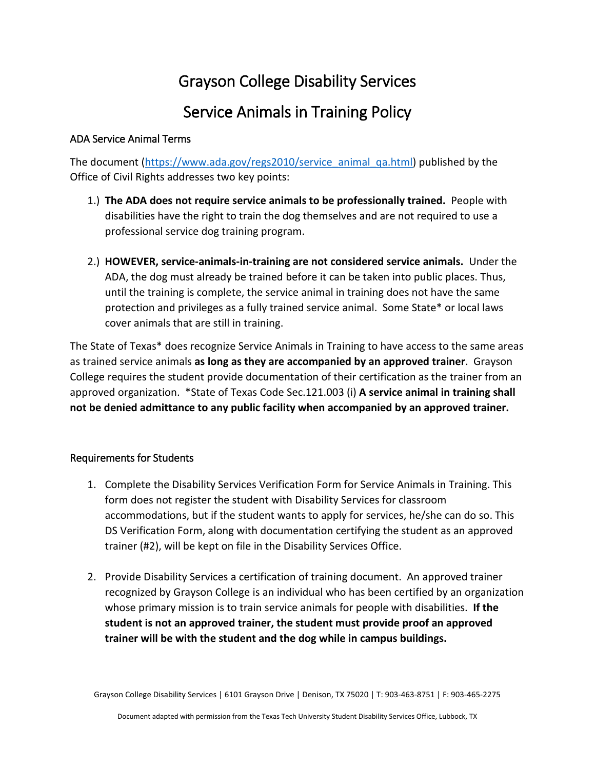## Grayson College Disability Services

## Service Animals in Training Policy

## ADA Service Animal Terms

The document [\(https://www.ada.gov/regs2010/service\\_animal\\_qa.html\)](https://www.ada.gov/regs2010/service_animal_qa.html) published by the Office of Civil Rights addresses two key points:

- 1.) **The ADA does not require service animals to be professionally trained.** People with disabilities have the right to train the dog themselves and are not required to use a professional service dog training program.
- 2.) **HOWEVER, service-animals-in-training are not considered service animals.** Under the ADA, the dog must already be trained before it can be taken into public places. Thus, until the training is complete, the service animal in training does not have the same protection and privileges as a fully trained service animal. Some State\* or local laws cover animals that are still in training.

The State of Texas\* does recognize Service Animals in Training to have access to the same areas as trained service animals **as long as they are accompanied by an approved trainer**. Grayson College requires the student provide documentation of their certification as the trainer from an approved organization. \*State of Texas Code Sec.121.003 (i) **A service animal in training shall not be denied admittance to any public facility when accompanied by an approved trainer.**

## Requirements for Students

- 1. Complete the Disability Services Verification Form for Service Animals in Training. This form does not register the student with Disability Services for classroom accommodations, but if the student wants to apply for services, he/she can do so. This DS Verification Form, along with documentation certifying the student as an approved trainer (#2), will be kept on file in the Disability Services Office.
- 2. Provide Disability Services a certification of training document. An approved trainer recognized by Grayson College is an individual who has been certified by an organization whose primary mission is to train service animals for people with disabilities. **If the student is not an approved trainer, the student must provide proof an approved trainer will be with the student and the dog while in campus buildings.**

Grayson College Disability Services | 6101 Grayson Drive | Denison, TX 75020 | T: 903-463-8751 | F: 903-465-2275